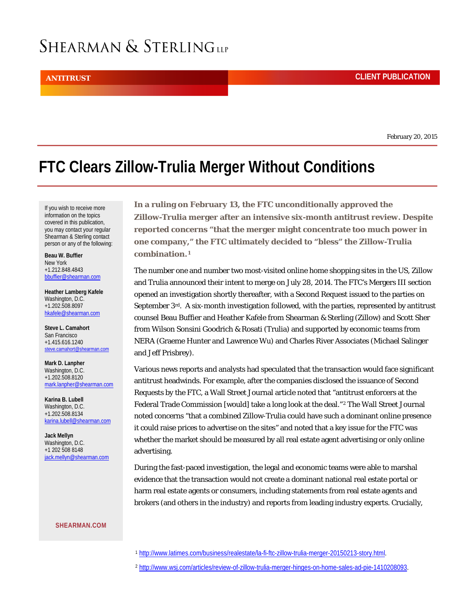## SHEARMAN & STERLINGLLP

February 20, 2015

## **FTC Clears Zillow-Trulia Merger Without Conditions**

If you wish to receive more information on the topics covered in this publication, you may contact your regular Shearman & Sterling contact person or any of the following:

**Beau [W. Buffier](http://www.shearman.com/en/people/b/buffier-beau-w)** New York +1.212.848.4843 [bbuffier@shearman.com](mailto:bbuffier@shearman.com) 

**[Heather Lamberg Kafele](http://www.shearman.com/en/people/k/kafele-heather-lamberg)** Washington, D.C. +1.202.508.8097 [hkafele@shearman.com](mailto:hkafele@shearman.com) 

**[Steve L. Camahort](http://www.shearman.com/en/people/c/camahort-steve-l)** San Francisco +1.415.616.1240 [steve.camahort@shearman.com](mailto:steve.camahort@shearman.com)

**[Mark D. Lanpher](http://www.shearman.com/en/people/l/lanpher-mark-d)** Washington, D.C. +1.202.508.8120 [mark.lanpher@shearman.com](mailto:mark.lanpher@shearman.com) 

**[Karina B. Lubell](http://www.shearman.com/en/people/l/lubell-karina-b)** Washington, D.C. +1.202.508.8134 [karina.lubell@shearman.com](mailto:karina.lubell@shearman.com) 

**[Jack Mellyn](http://www.shearman.com/en/people/m/mellyn-jack)** Washington, D.C. +1 202 508 8148 [jack.mellyn@shearman.com](mailto:jack.mellyn@shearman.com)

<span id="page-0-1"></span><span id="page-0-0"></span>**[SHEARMAN.COM](http://www.shearman.com/)**

**Zillow-Trulia merger after an intensive six-month antitrust review. Despite reported concerns "that the merger might concentrate too much power in one company," the FTC ultimately decided to "bless" the Zillow-Trulia combination.[1](#page-0-0)**

**In a ruling on February 13, the FTC unconditionally approved the** 

The number one and number two most-visited online home shopping sites in the US, Zillow and Trulia announced their intent to merge on July 28, 2014. The FTC's Mergers III section opened an investigation shortly thereafter, with a Second Request issued to the parties on September 3rd. A six-month investigation followed, with the parties, represented by antitrust counsel Beau Buffier and Heather Kafele from Shearman & Sterling (Zillow) and Scott Sher from Wilson Sonsini Goodrich & Rosati (Trulia) and supported by economic teams from NERA (Graeme Hunter and Lawrence Wu) and Charles River Associates (Michael Salinger and Jeff Prisbrey).

Various news reports and analysts had speculated that the transaction would face significant antitrust headwinds. For example, after the companies disclosed the issuance of Second Requests by the FTC, a Wall Street Journal article noted that "antitrust enforcers at the Federal Trade Commission [would] take a long look at the deal."<sup>[2](#page-0-1)</sup> The Wall Street Journal noted concerns "that a combined Zillow-Trulia could have such a dominant online presence it could raise prices to advertise on the sites" and noted that a key issue for the FTC was whether the market should be measured by all real estate agent advertising or only online advertising.

During the fast-paced investigation, the legal and economic teams were able to marshal evidence that the transaction would not create a dominant national real estate portal or harm real estate agents or consumers, including statements from real estate agents and brokers (and others in the industry) and reports from leading industry experts. Crucially,

- <sup>1</sup> [http://www.latimes.com/business/realestate/la-fi-ftc-zillow-trulia-merger-20150213-story.html.](http://www.latimes.com/business/realestate/la-fi-ftc-zillow-trulia-merger-20150213-story.html)
- <sup>2</sup> [http://www.wsj.com/articles/review-of-zillow-trulia-merger-hinges-on-home-sales-ad-pie-1410208093.](http://www.wsj.com/articles/review-of-zillow-trulia-merger-hinges-on-home-sales-ad-pie-1410208093)